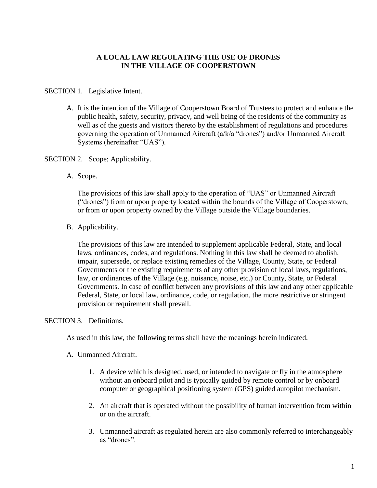# **A LOCAL LAW REGULATING THE USE OF DRONES IN THE VILLAGE OF COOPERSTOWN**

### SECTION 1. Legislative Intent.

A. It is the intention of the Village of Cooperstown Board of Trustees to protect and enhance the public health, safety, security, privacy, and well being of the residents of the community as well as of the guests and visitors thereto by the establishment of regulations and procedures governing the operation of Unmanned Aircraft (a/k/a "drones") and/or Unmanned Aircraft Systems (hereinafter "UAS").

#### SECTION 2. Scope; Applicability.

A. Scope.

The provisions of this law shall apply to the operation of "UAS" or Unmanned Aircraft ("drones") from or upon property located within the bounds of the Village of Cooperstown, or from or upon property owned by the Village outside the Village boundaries.

B. Applicability.

The provisions of this law are intended to supplement applicable Federal, State, and local laws, ordinances, codes, and regulations. Nothing in this law shall be deemed to abolish, impair, supersede, or replace existing remedies of the Village, County, State, or Federal Governments or the existing requirements of any other provision of local laws, regulations, law, or ordinances of the Village (e.g. nuisance, noise, etc.) or County, State, or Federal Governments. In case of conflict between any provisions of this law and any other applicable Federal, State, or local law, ordinance, code, or regulation, the more restrictive or stringent provision or requirement shall prevail.

## SECTION 3. Definitions.

As used in this law, the following terms shall have the meanings herein indicated.

- A. Unmanned Aircraft.
	- 1. A device which is designed, used, or intended to navigate or fly in the atmosphere without an onboard pilot and is typically guided by remote control or by onboard computer or geographical positioning system (GPS) guided autopilot mechanism.
	- 2. An aircraft that is operated without the possibility of human intervention from within or on the aircraft.
	- 3. Unmanned aircraft as regulated herein are also commonly referred to interchangeably as "drones".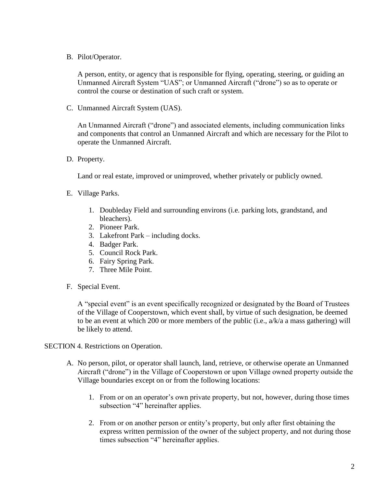B. Pilot/Operator.

A person, entity, or agency that is responsible for flying, operating, steering, or guiding an Unmanned Aircraft System "UAS"; or Unmanned Aircraft ("drone") so as to operate or control the course or destination of such craft or system.

C. Unmanned Aircraft System (UAS).

An Unmanned Aircraft ("drone") and associated elements, including communication links and components that control an Unmanned Aircraft and which are necessary for the Pilot to operate the Unmanned Aircraft.

D. Property.

Land or real estate, improved or unimproved, whether privately or publicly owned.

- E. Village Parks.
	- 1. Doubleday Field and surrounding environs (i.e. parking lots, grandstand, and bleachers).
	- 2. Pioneer Park.
	- 3. Lakefront Park including docks.
	- 4. Badger Park.
	- 5. Council Rock Park.
	- 6. Fairy Spring Park.
	- 7. Three Mile Point.
- F. Special Event.

A "special event" is an event specifically recognized or designated by the Board of Trustees of the Village of Cooperstown, which event shall, by virtue of such designation, be deemed to be an event at which 200 or more members of the public (i.e., a/k/a a mass gathering) will be likely to attend.

SECTION 4. Restrictions on Operation.

- A. No person, pilot, or operator shall launch, land, retrieve, or otherwise operate an Unmanned Aircraft ("drone") in the Village of Cooperstown or upon Village owned property outside the Village boundaries except on or from the following locations:
	- 1. From or on an operator's own private property, but not, however, during those times subsection "4" hereinafter applies.
	- 2. From or on another person or entity's property, but only after first obtaining the express written permission of the owner of the subject property, and not during those times subsection "4" hereinafter applies.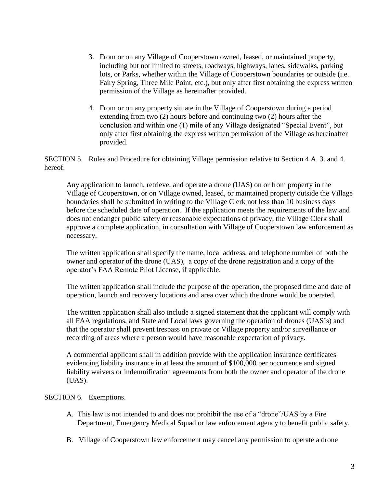- 3. From or on any Village of Cooperstown owned, leased, or maintained property, including but not limited to streets, roadways, highways, lanes, sidewalks, parking lots, or Parks, whether within the Village of Cooperstown boundaries or outside (i.e. Fairy Spring, Three Mile Point, etc.), but only after first obtaining the express written permission of the Village as hereinafter provided.
- 4. From or on any property situate in the Village of Cooperstown during a period extending from two (2) hours before and continuing two (2) hours after the conclusion and within one (1) mile of any Village designated "Special Event", but only after first obtaining the express written permission of the Village as hereinafter provided.

SECTION 5. Rules and Procedure for obtaining Village permission relative to Section 4 A. 3. and 4. hereof.

Any application to launch, retrieve, and operate a drone (UAS) on or from property in the Village of Cooperstown, or on Village owned, leased, or maintained property outside the Village boundaries shall be submitted in writing to the Village Clerk not less than 10 business days before the scheduled date of operation. If the application meets the requirements of the law and does not endanger public safety or reasonable expectations of privacy, the Village Clerk shall approve a complete application, in consultation with Village of Cooperstown law enforcement as necessary.

The written application shall specify the name, local address, and telephone number of both the owner and operator of the drone (UAS), a copy of the drone registration and a copy of the operator's FAA Remote Pilot License, if applicable.

The written application shall include the purpose of the operation, the proposed time and date of operation, launch and recovery locations and area over which the drone would be operated.

The written application shall also include a signed statement that the applicant will comply with all FAA regulations, and State and Local laws governing the operation of drones (UAS's) and that the operator shall prevent trespass on private or Village property and/or surveillance or recording of areas where a person would have reasonable expectation of privacy.

A commercial applicant shall in addition provide with the application insurance certificates evidencing liability insurance in at least the amount of \$100,000 per occurrence and signed liability waivers or indemnification agreements from both the owner and operator of the drone (UAS).

## SECTION 6. Exemptions.

- A. This law is not intended to and does not prohibit the use of a "drone"/UAS by a Fire Department, Emergency Medical Squad or law enforcement agency to benefit public safety.
- B. Village of Cooperstown law enforcement may cancel any permission to operate a drone